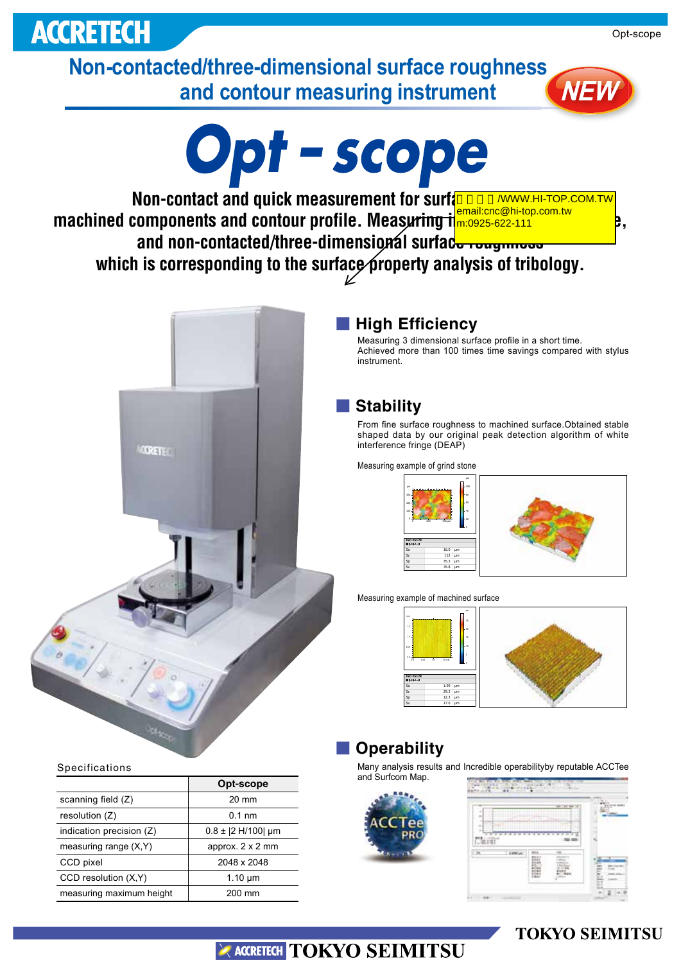# **ACCRETECH**

**Non-contacted/three-dimensional surface roughness and contour measuring instrument**



**Non-contact and quick measurement for surface text machined components and contour profile. Measuring imposite the profile of p.** and non-contacted/three-dimensional surface roughness which is corresponding to the surface property analysis of tribology. **/WWW.HI-TOP.COM.TW** email:cnc@hi-top.com.tw



### ■ **High Efficiency**

Measuring 3 dimensional surface profile in a short time. Achieved more than 100 times time savings compared with stylus instrument.

### ■ **Stability**

From fine surface roughness to machined surface. Obtained stable shaped data by our original peak detection algorithm of white interference fringe (DEAP)

Measuring example of grind stone

µm

100 300

0 200 400 µm µm 0 20 40 60 80 100 **ISO 25178** 高さパラメータ Sa 16.0 µm Sz 112 µm Sp 35.3 µm Sv 76.8 µm

Measuring example of machined surface



# ■ Operability

Many analysis results and Incredible operabilityby reputable ACCTee and Surfcom Map

|            |                |                          | <b>THE TIME</b> |  |
|------------|----------------|--------------------------|-----------------|--|
| Tee<br>PRO | <b>TT</b><br>≂ | $-244$<br>$\overline{a}$ |                 |  |
|            |                |                          | $-981.981$      |  |
|            | Little or      | #ts<br>臨                 | <b>Water</b>    |  |

Specifications

|                          | Opt-scope            |  |  |  |
|--------------------------|----------------------|--|--|--|
| scanning field (Z)       | 20 mm                |  |  |  |
| resolution (Z)           | $0.1$ nm             |  |  |  |
| indication precision (Z) | $0.8 \pm 2$ H/100 um |  |  |  |
| measuring range $(X, Y)$ | approx. 2 x 2 mm     |  |  |  |
| CCD pixel                | 2048 x 2048          |  |  |  |
| CCD resolution (X,Y)     | $1.10 \mu m$         |  |  |  |
| measuring maximum height | 200 mm               |  |  |  |

# ACCRETECH TOKYO SEIMITSU

# **TOKYO SEIMITSU**